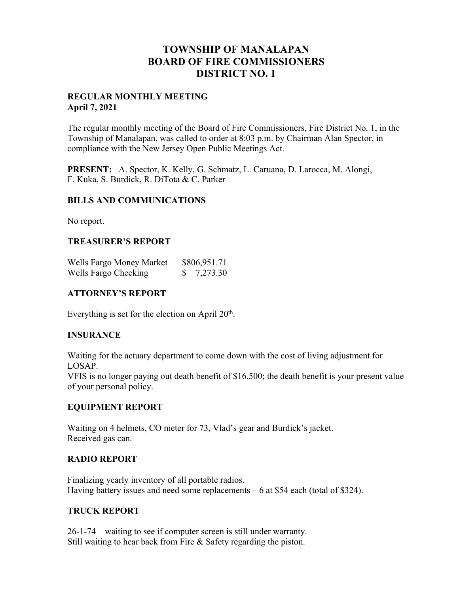# **TOWNSHIP OF MANALAPAN BOARD OF FIRE COMMISSIONERS DISTRICT NO. 1**

### **REGULAR MONTHLY MEETING April 7, 2021**

The regular monthly meeting of the Board of Fire Commissioners, Fire District No. 1, in the Township of Manalapan, was called to order at 8:03 p.m. by Chairman Alan Spector, in compliance with the New Jersey Open Public Meetings Act.

**PRESENT:** A. Spector, K. Kelly, G. Schmatz, L. Caruana, D. Larocca, M. Alongi, F. Kuka, S. Burdick, R. DiTota & C. Parker

### **BILLS AND COMMUNICATIONS**

No report.

### **TREASURER'S REPORT**

| Wells Fargo Money Market | \$806,951.71 |          |
|--------------------------|--------------|----------|
| Wells Fargo Checking     |              | 7,273.30 |

### **ATTORNEY'S REPORT**

Everything is set for the election on April  $20<sup>th</sup>$ .

### **INSURANCE**

Waiting for the actuary department to come down with the cost of living adjustment for LOSAP.

VFIS is no longer paying out death benefit of \$16,500; the death benefit is your present value of your personal policy.

### **EQUIPMENT REPORT**

Waiting on 4 helmets, CO meter for 73, Vlad's gear and Burdick's jacket. Received gas can.

### **RADIO REPORT**

Finalizing yearly inventory of all portable radios. Having battery issues and need some replacements – 6 at \$54 each (total of \$324).

### **TRUCK REPORT**

26-1-74 – waiting to see if computer screen is still under warranty. Still waiting to hear back from Fire & Safety regarding the piston.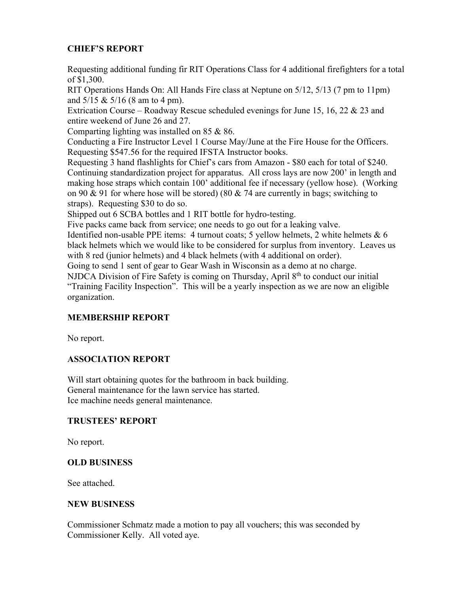## **CHIEF'S REPORT**

Requesting additional funding fir RIT Operations Class for 4 additional firefighters for a total of \$1,300.

RIT Operations Hands On: All Hands Fire class at Neptune on 5/12, 5/13 (7 pm to 11pm) and 5/15 & 5/16 (8 am to 4 pm).

Extrication Course – Roadway Rescue scheduled evenings for June 15, 16, 22 & 23 and entire weekend of June 26 and 27.

Comparting lighting was installed on 85 & 86.

Conducting a Fire Instructor Level 1 Course May/June at the Fire House for the Officers. Requesting \$547.56 for the required IFSTA Instructor books.

Requesting 3 hand flashlights for Chief's cars from Amazon - \$80 each for total of \$240. Continuing standardization project for apparatus. All cross lays are now 200' in length and making hose straps which contain 100' additional fee if necessary (yellow hose). (Working on 90 & 91 for where hose will be stored) (80 & 74 are currently in bags; switching to straps). Requesting \$30 to do so.

Shipped out 6 SCBA bottles and 1 RIT bottle for hydro-testing.

Five packs came back from service; one needs to go out for a leaking valve.

Identified non-usable PPE items: 4 turnout coats; 5 yellow helmets, 2 white helmets & 6 black helmets which we would like to be considered for surplus from inventory. Leaves us with 8 red (junior helmets) and 4 black helmets (with 4 additional on order).

Going to send 1 sent of gear to Gear Wash in Wisconsin as a demo at no charge.

NJDCA Division of Fire Safety is coming on Thursday, April  $8<sup>th</sup>$  to conduct our initial "Training Facility Inspection". This will be a yearly inspection as we are now an eligible organization.

## **MEMBERSHIP REPORT**

No report.

### **ASSOCIATION REPORT**

Will start obtaining quotes for the bathroom in back building. General maintenance for the lawn service has started. Ice machine needs general maintenance.

### **TRUSTEES' REPORT**

No report.

### **OLD BUSINESS**

See attached.

### **NEW BUSINESS**

Commissioner Schmatz made a motion to pay all vouchers; this was seconded by Commissioner Kelly. All voted aye.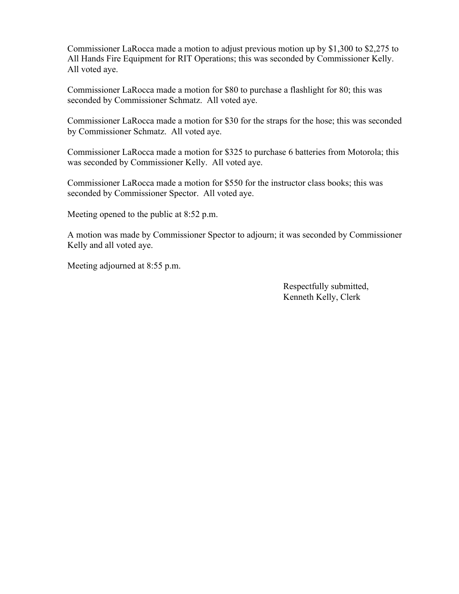Commissioner LaRocca made a motion to adjust previous motion up by \$1,300 to \$2,275 to All Hands Fire Equipment for RIT Operations; this was seconded by Commissioner Kelly. All voted aye.

Commissioner LaRocca made a motion for \$80 to purchase a flashlight for 80; this was seconded by Commissioner Schmatz. All voted aye.

Commissioner LaRocca made a motion for \$30 for the straps for the hose; this was seconded by Commissioner Schmatz. All voted aye.

Commissioner LaRocca made a motion for \$325 to purchase 6 batteries from Motorola; this was seconded by Commissioner Kelly. All voted aye.

Commissioner LaRocca made a motion for \$550 for the instructor class books; this was seconded by Commissioner Spector. All voted aye.

Meeting opened to the public at 8:52 p.m.

A motion was made by Commissioner Spector to adjourn; it was seconded by Commissioner Kelly and all voted aye.

Meeting adjourned at 8:55 p.m.

 Respectfully submitted, Kenneth Kelly, Clerk